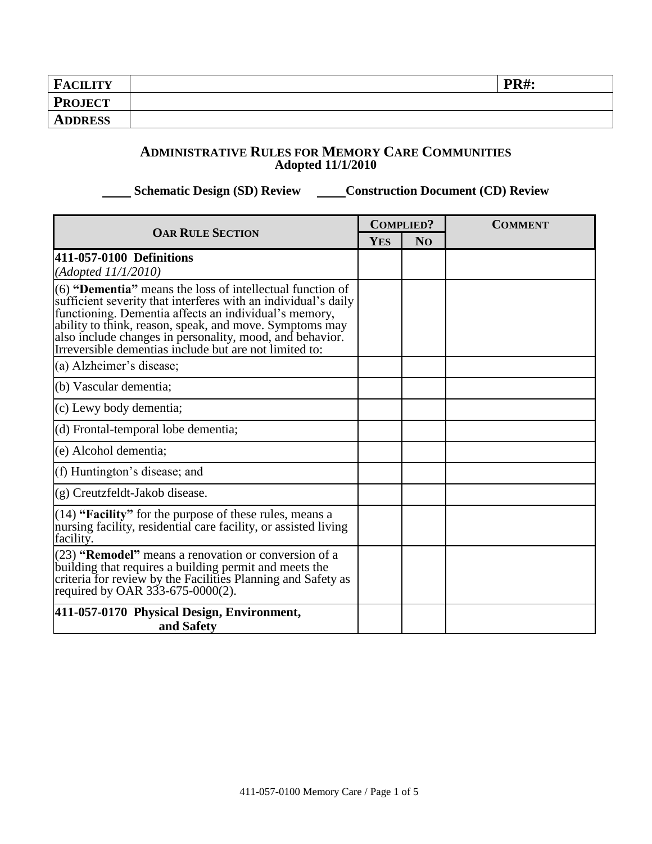| F<br><b>CILITY</b> | <b>PR#:</b> |
|--------------------|-------------|
| <b>PROJECT</b>     |             |
| <b>ADDRESS</b>     |             |

## **ADMINISTRATIVE RULES FOR MEMORY CARE COMMUNITIES Adopted 11/1/2010**

 **Schematic Design (SD) Review Construction Document (CD) Review** 

| <b>OAR RULE SECTION</b>                                                                                                                                                                                                                                                                                                                                               |  | <b>COMPLIED?</b> | <b>COMMENT</b> |
|-----------------------------------------------------------------------------------------------------------------------------------------------------------------------------------------------------------------------------------------------------------------------------------------------------------------------------------------------------------------------|--|------------------|----------------|
|                                                                                                                                                                                                                                                                                                                                                                       |  | N <sub>O</sub>   |                |
| 411-057-0100 Definitions                                                                                                                                                                                                                                                                                                                                              |  |                  |                |
| (Adopted 11/1/2010)                                                                                                                                                                                                                                                                                                                                                   |  |                  |                |
| (6) "Dementia" means the loss of intellectual function of<br>sufficient severity that interferes with an individual's daily<br>functioning. Dementia affects an individual's memory,<br>ability to think, reason, speak, and move. Symptoms may<br>also include changes in personality, mood, and behavior.<br>Irreversible dementias include but are not limited to: |  |                  |                |
| (a) Alzheimer's disease;                                                                                                                                                                                                                                                                                                                                              |  |                  |                |
| (b) Vascular dementia;                                                                                                                                                                                                                                                                                                                                                |  |                  |                |
| (c) Lewy body dementia;                                                                                                                                                                                                                                                                                                                                               |  |                  |                |
| (d) Frontal-temporal lobe dementia;                                                                                                                                                                                                                                                                                                                                   |  |                  |                |
| (e) Alcohol dementia;                                                                                                                                                                                                                                                                                                                                                 |  |                  |                |
| (f) Huntington's disease; and                                                                                                                                                                                                                                                                                                                                         |  |                  |                |
| (g) Creutzfeldt-Jakob disease.                                                                                                                                                                                                                                                                                                                                        |  |                  |                |
| $(14)$ " <b>Facility</b> " for the purpose of these rules, means a<br>nursing facility, residential care facility, or assisted living<br>facility.                                                                                                                                                                                                                    |  |                  |                |
| (23) "Remodel" means a renovation or conversion of a<br>building that requires a building permit and meets the<br>criteria for review by the Facilities Planning and Safety as<br>required by OAR $333-675-0000(2)$ .                                                                                                                                                 |  |                  |                |
| 411-057-0170 Physical Design, Environment,<br>and Safety                                                                                                                                                                                                                                                                                                              |  |                  |                |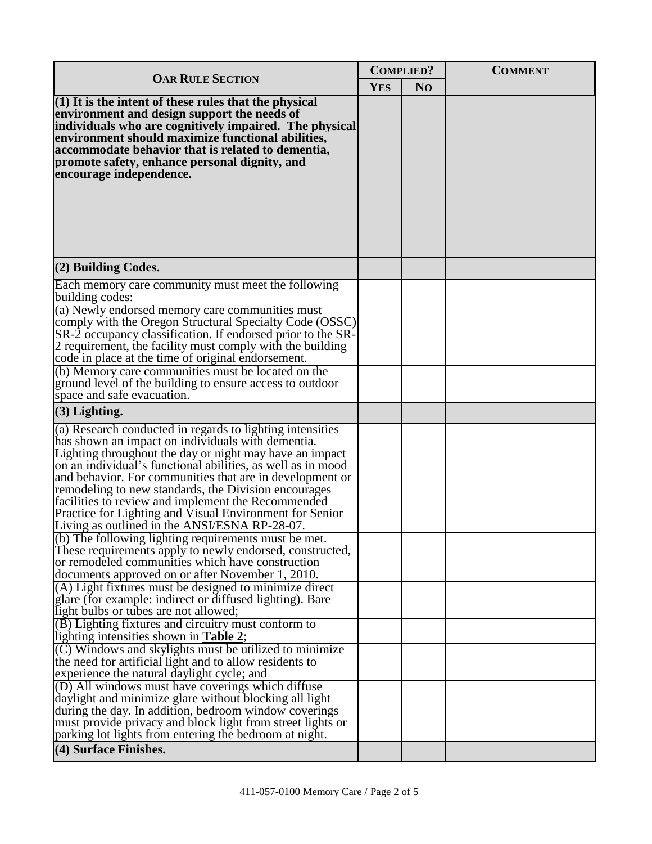| <b>OAR RULE SECTION</b>                                                                                                                                                                                                                                                                                                                                                                                                                                                                                                                                                                |            | <b>COMPLIED?</b> | <b>COMMENT</b> |  |
|----------------------------------------------------------------------------------------------------------------------------------------------------------------------------------------------------------------------------------------------------------------------------------------------------------------------------------------------------------------------------------------------------------------------------------------------------------------------------------------------------------------------------------------------------------------------------------------|------------|------------------|----------------|--|
|                                                                                                                                                                                                                                                                                                                                                                                                                                                                                                                                                                                        |            | N <sub>O</sub>   |                |  |
| $(1)$ It is the intent of these rules that the physical<br>environment and design support the needs of<br>individuals who are cognitively impaired. The physical<br>environment should maximize functional abilities,<br>accommodate behavior that is related to dementia,<br>promote safety, enhance personal dignity, and<br>encourage independence.                                                                                                                                                                                                                                 | <b>YES</b> |                  |                |  |
| (2) Building Codes.                                                                                                                                                                                                                                                                                                                                                                                                                                                                                                                                                                    |            |                  |                |  |
| Each memory care community must meet the following                                                                                                                                                                                                                                                                                                                                                                                                                                                                                                                                     |            |                  |                |  |
| building codes:                                                                                                                                                                                                                                                                                                                                                                                                                                                                                                                                                                        |            |                  |                |  |
| (a) Newly endorsed memory care communities must<br>comply with the Oregon Structural Specialty Code (OSSC)<br>SR-2 occupancy classification. If endorsed prior to the SR-<br>2 requirement, the facility must comply with the building<br>code in place at the time of original endorsement.<br>(b) Memory care communities must be located on the                                                                                                                                                                                                                                     |            |                  |                |  |
| ground level of the building to ensure access to outdoor<br>space and safe evacuation.                                                                                                                                                                                                                                                                                                                                                                                                                                                                                                 |            |                  |                |  |
| $(3)$ Lighting.                                                                                                                                                                                                                                                                                                                                                                                                                                                                                                                                                                        |            |                  |                |  |
| (a) Research conducted in regards to lighting intensities<br>has shown an impact on individuals with dementia.<br>Lighting throughout the day or night may have an impact<br>on an individual's functional abilities, as well as in mood<br>and behavior. For communities that are in development or<br>remodeling to new standards, the Division encourages<br>facilities to review and implement the Recommended<br>Practice for Lighting and Visual Environment for Senior<br>Living as outlined in the ANSI/ESNA RP-28-07.<br>(b) The following lighting requirements must be met. |            |                  |                |  |
| These requirements apply to newly endorsed, constructed,<br>or remodeled communities which have construction<br>documents approved on or after November 1, 2010.<br>$(A)$ Light fixtures must be designed to minimize direct                                                                                                                                                                                                                                                                                                                                                           |            |                  |                |  |
| glare (for example: indirect or diffused lighting). Bare<br>light bulbs or tubes are not allowed;                                                                                                                                                                                                                                                                                                                                                                                                                                                                                      |            |                  |                |  |
| (B) Lighting fixtures and circuitry must conform to<br>lighting intensities shown in <b>Table 2</b> ;                                                                                                                                                                                                                                                                                                                                                                                                                                                                                  |            |                  |                |  |
| (C) Windows and skylights must be utilized to minimize<br>the need for artificial light and to allow residents to<br>experience the natural daylight cycle; and                                                                                                                                                                                                                                                                                                                                                                                                                        |            |                  |                |  |
| (D) All windows must have coverings which diffuse<br>daylight and minimize glare without blocking all light<br>during the day. In addition, bedroom window coverings<br>must provide privacy and block light from street lights or<br>parking lot lights from entering the bedroom at night.<br>$(4)$ Surface Finishes.                                                                                                                                                                                                                                                                |            |                  |                |  |
|                                                                                                                                                                                                                                                                                                                                                                                                                                                                                                                                                                                        |            |                  |                |  |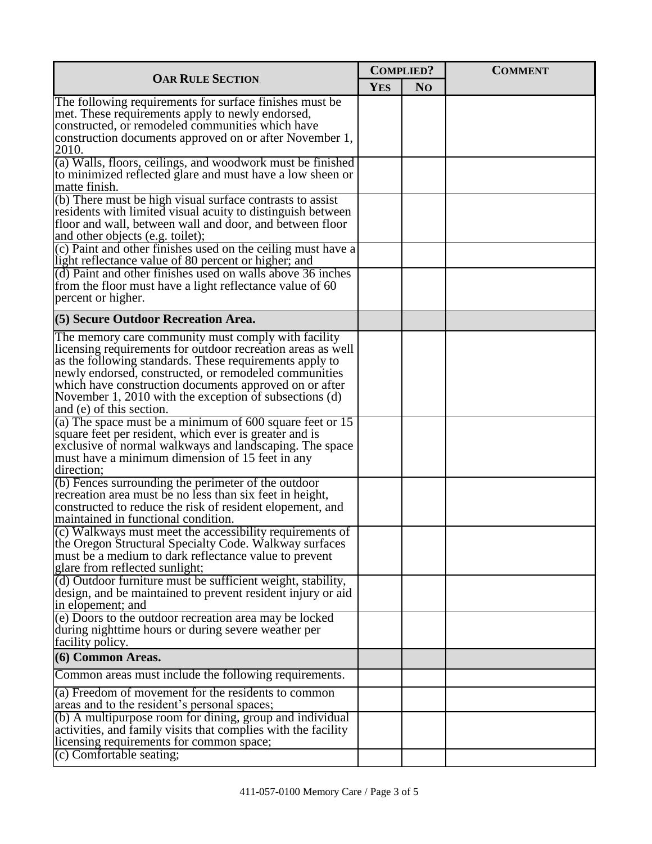| <b>OAR RULE SECTION</b>                                                                                                                                                                                                                                                                                                                                                                |  | <b>COMPLIED?</b> | <b>COMMENT</b> |
|----------------------------------------------------------------------------------------------------------------------------------------------------------------------------------------------------------------------------------------------------------------------------------------------------------------------------------------------------------------------------------------|--|------------------|----------------|
|                                                                                                                                                                                                                                                                                                                                                                                        |  | N <sub>O</sub>   |                |
| The following requirements for surface finishes must be<br>met. These requirements apply to newly endorsed,<br>constructed, or remodeled communities which have<br>construction documents approved on or after November 1,<br>2010.                                                                                                                                                    |  |                  |                |
| (a) Walls, floors, ceilings, and woodwork must be finished<br>to minimized reflected glare and must have a low sheen or<br>matte finish.                                                                                                                                                                                                                                               |  |                  |                |
| (b) There must be high visual surface contrasts to assist<br>residents with limited visual acuity to distinguish between<br>floor and wall, between wall and door, and between floor<br>and other objects (e.g. toilet);                                                                                                                                                               |  |                  |                |
| (c) Paint and other finishes used on the ceiling must have a<br>light reflectance value of 80 percent or higher; and<br>(d) Paint and other finishes used on walls above 36 inches                                                                                                                                                                                                     |  |                  |                |
| from the floor must have a light reflectance value of 60<br>percent or higher.                                                                                                                                                                                                                                                                                                         |  |                  |                |
| (5) Secure Outdoor Recreation Area.                                                                                                                                                                                                                                                                                                                                                    |  |                  |                |
| The memory care community must comply with facility<br>licensing requirements for outdoor recreation areas as well<br>as the following standards. These requirements apply to<br>newly endorsed, constructed, or remodeled communities<br>which have construction documents approved on or after<br>November 1, 2010 with the exception of subsections (d)<br>and (e) of this section. |  |                  |                |
| (a) The space must be a minimum of $600$ square feet or 15<br>square feet per resident, which ever is greater and is<br>exclusive of normal walkways and landscaping. The space<br>must have a minimum dimension of 15 feet in any<br>direction;                                                                                                                                       |  |                  |                |
| (b) Fences surrounding the perimeter of the outdoor<br>recreation area must be no less than six feet in height,<br>constructed to reduce the risk of resident elopement, and<br>maintained in functional condition.                                                                                                                                                                    |  |                  |                |
| (c) Walkways must meet the accessibility requirements of<br>the Oregon Structural Specialty Code. Walkway surfaces<br>must be a medium to dark reflectance value to prevent<br>glare from reflected sunlight;                                                                                                                                                                          |  |                  |                |
| (d) Outdoor furniture must be sufficient weight, stability,<br>design, and be maintained to prevent resident injury or aid<br>in elopement; and                                                                                                                                                                                                                                        |  |                  |                |
| (e) Doors to the outdoor recreation area may be locked<br>during nighttime hours or during severe weather per<br>facility policy.                                                                                                                                                                                                                                                      |  |                  |                |
| (6) Common Areas.                                                                                                                                                                                                                                                                                                                                                                      |  |                  |                |
| Common areas must include the following requirements.                                                                                                                                                                                                                                                                                                                                  |  |                  |                |
| (a) Freedom of movement for the residents to common<br>areas and to the resident's personal spaces;                                                                                                                                                                                                                                                                                    |  |                  |                |
| (b) A multipurpose room for dining, group and individual<br>activities, and family visits that complies with the facility<br>licensing requirements for common space;                                                                                                                                                                                                                  |  |                  |                |
| (c) Comfortable seating;                                                                                                                                                                                                                                                                                                                                                               |  |                  |                |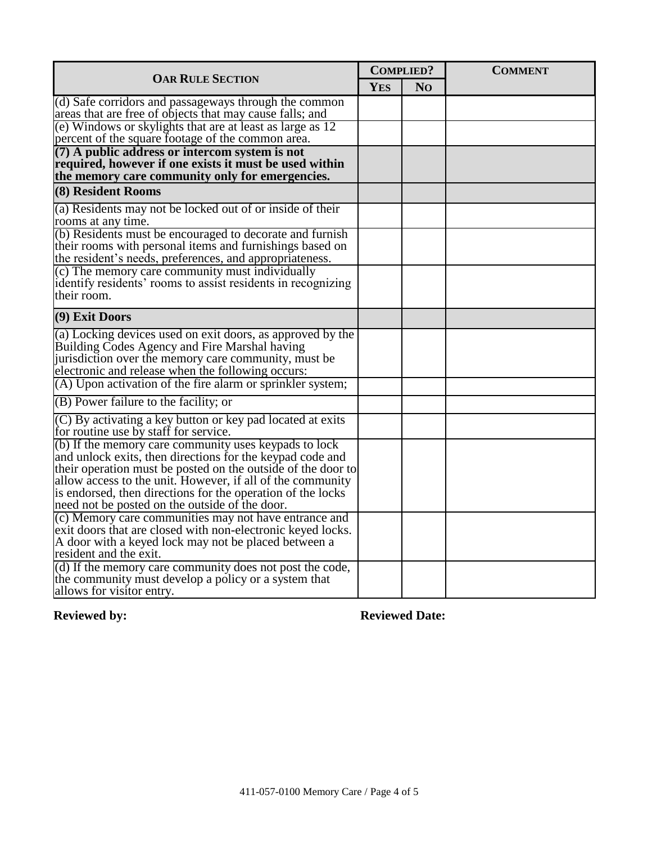| <b>OAR RULE SECTION</b>                                                                                                                                     |  | <b>COMPLIED?</b> | <b>COMMENT</b> |  |
|-------------------------------------------------------------------------------------------------------------------------------------------------------------|--|------------------|----------------|--|
|                                                                                                                                                             |  | N <sub>O</sub>   |                |  |
| (d) Safe corridors and passageways through the common                                                                                                       |  |                  |                |  |
| areas that are free of objects that may cause falls; and                                                                                                    |  |                  |                |  |
| (e) Windows or skylights that are at least as large as 12                                                                                                   |  |                  |                |  |
| percent of the square footage of the common area.                                                                                                           |  |                  |                |  |
| (7) A public address or intercom system is not<br>required, however if one exists it must be used within<br>the memory care community only for emergencies. |  |                  |                |  |
| (8) Resident Rooms                                                                                                                                          |  |                  |                |  |
| (a) Residents may not be locked out of or inside of their<br>rooms at any time.                                                                             |  |                  |                |  |
| (b) Residents must be encouraged to decorate and furnish                                                                                                    |  |                  |                |  |
| their rooms with personal items and furnishings based on                                                                                                    |  |                  |                |  |
| the resident's needs, preferences, and appropriateness.                                                                                                     |  |                  |                |  |
| (c) The memory care community must individually                                                                                                             |  |                  |                |  |
| identify residents' rooms to assist residents in recognizing                                                                                                |  |                  |                |  |
| their room.                                                                                                                                                 |  |                  |                |  |
| (9) Exit Doors                                                                                                                                              |  |                  |                |  |
| (a) Locking devices used on exit doors, as approved by the                                                                                                  |  |                  |                |  |
| Building Codes Agency and Fire Marshal having                                                                                                               |  |                  |                |  |
| jurisdiction over the memory care community, must be<br>electronic and release when the following occurs:                                                   |  |                  |                |  |
| (A) Upon activation of the fire alarm or sprinkler system;                                                                                                  |  |                  |                |  |
| $(B)$ Power failure to the facility; or                                                                                                                     |  |                  |                |  |
|                                                                                                                                                             |  |                  |                |  |
| (C) By activating a key button or key pad located at exits<br>for routine use by staff for service.                                                         |  |                  |                |  |
| (b) If the memory care community uses keypads to lock                                                                                                       |  |                  |                |  |
| and unlock exits, then directions for the keypad code and                                                                                                   |  |                  |                |  |
| their operation must be posted on the outside of the door to                                                                                                |  |                  |                |  |
| allow access to the unit. However, if all of the community                                                                                                  |  |                  |                |  |
| is endorsed, then directions for the operation of the locks                                                                                                 |  |                  |                |  |
| need not be posted on the outside of the door.                                                                                                              |  |                  |                |  |
| (c) Memory care communities may not have entrance and                                                                                                       |  |                  |                |  |
| exit doors that are closed with non-electronic keyed locks.<br>A door with a keyed lock may not be placed between a                                         |  |                  |                |  |
| resident and the exit.                                                                                                                                      |  |                  |                |  |
| (d) If the memory care community does not post the code,                                                                                                    |  |                  |                |  |
| the community must develop a policy or a system that                                                                                                        |  |                  |                |  |
| allows for visitor entry.                                                                                                                                   |  |                  |                |  |

**Reviewed by: Reviewed Date:**